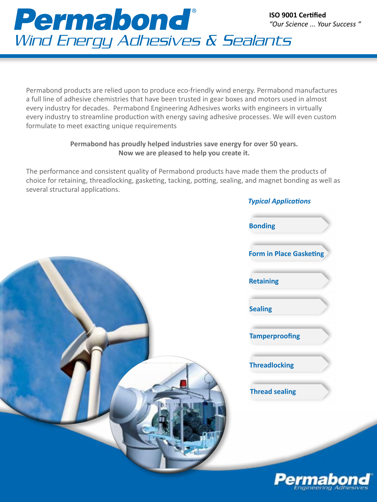

Permabond products are relied upon to produce eco-friendly wind energy. Permabond manufactures a full line of adhesive chemistries that have been trusted in gear boxes and motors used in almost every industry for decades. Permabond Engineering Adhesives works with engineers in virtually every industry to streamline production with energy saving adhesive processes. We will even custom formulate to meet exacting unique requirements

## **Permabond has proudly helped industries save energy for over 50 years. Now we are pleased to help you create it.**

The performance and consistent quality of Permabond products have made them the products of choice for retaining, threadlocking, gasketing, tacking, potting, sealing, and magnet bonding as well as several structural applications.



| <b>Typical Applications</b>    |  |
|--------------------------------|--|
| <b>Bonding</b>                 |  |
| <b>Form in Place Gasketing</b> |  |
| <b>Retaining</b>               |  |
| <b>Sealing</b>                 |  |
| <b>Tamperproofing</b>          |  |
| <b>Threadlocking</b>           |  |
| <b>Thread sealing</b>          |  |

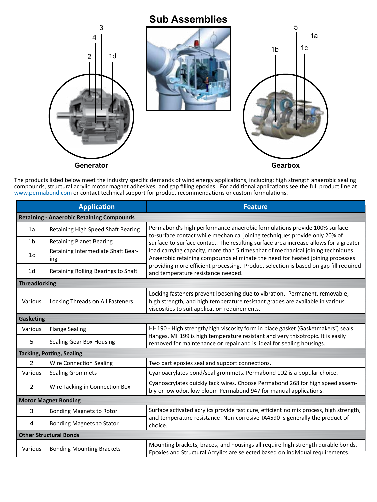

The products listed below meet the industry specific demands of wind energy applications, including; high strength anaerobic sealing compounds, structural acrylic motor magnet adhesives, and gap filling epoxies. For additional applications see the full product line at www.permabond.com or contact technical support for product recommendations or custom formulations.

|                                                  | <b>Application</b>                        | <b>Feature</b>                                                                                                                                                                                                                                                                                                                                                                                                                                                                                                                                     |  |
|--------------------------------------------------|-------------------------------------------|----------------------------------------------------------------------------------------------------------------------------------------------------------------------------------------------------------------------------------------------------------------------------------------------------------------------------------------------------------------------------------------------------------------------------------------------------------------------------------------------------------------------------------------------------|--|
| <b>Retaining - Anaerobic Retaining Compounds</b> |                                           |                                                                                                                                                                                                                                                                                                                                                                                                                                                                                                                                                    |  |
| 1a                                               | Retaining High Speed Shaft Bearing        | Permabond's high performance anaerobic formulations provide 100% surface-<br>to-surface contact while mechanical joining techniques provide only 20% of<br>surface-to-surface contact. The resulting surface area increase allows for a greater<br>load carrying capacity, more than 5 times that of mechanical joining techniques.<br>Anaerobic retaining compounds eliminate the need for heated joining processes<br>providing more efficient processing. Product selection is based on gap fill required<br>and temperature resistance needed. |  |
| 1 <sub>b</sub>                                   | <b>Retaining Planet Bearing</b>           |                                                                                                                                                                                                                                                                                                                                                                                                                                                                                                                                                    |  |
| 1 <sub>c</sub>                                   | Retaining Intermediate Shaft Bear-<br>ing |                                                                                                                                                                                                                                                                                                                                                                                                                                                                                                                                                    |  |
| 1 <sub>d</sub>                                   | Retaining Rolling Bearings to Shaft       |                                                                                                                                                                                                                                                                                                                                                                                                                                                                                                                                                    |  |
| <b>Threadlocking</b>                             |                                           |                                                                                                                                                                                                                                                                                                                                                                                                                                                                                                                                                    |  |
| Various                                          | Locking Threads on All Fasteners          | Locking fasteners prevent loosening due to vibration. Permanent, removable,<br>high strength, and high temperature resistant grades are available in various<br>viscosities to suit application requirements.                                                                                                                                                                                                                                                                                                                                      |  |
| Gasketing                                        |                                           |                                                                                                                                                                                                                                                                                                                                                                                                                                                                                                                                                    |  |
| Various                                          | <b>Flange Sealing</b>                     | HH190 - High strength/high viscosity form in place gasket (Gasketmakers <sup>®</sup> ) seals                                                                                                                                                                                                                                                                                                                                                                                                                                                       |  |
| 5                                                | Sealing Gear Box Housing                  | flanges. MH199 is high temperature resistant and very thixotropic. It is easily<br>removed for maintenance or repair and is ideal for sealing housings.                                                                                                                                                                                                                                                                                                                                                                                            |  |
| <b>Tacking, Potting, Sealing</b>                 |                                           |                                                                                                                                                                                                                                                                                                                                                                                                                                                                                                                                                    |  |
| 2                                                | <b>Wire Connection Sealing</b>            | Two part epoxies seal and support connections.                                                                                                                                                                                                                                                                                                                                                                                                                                                                                                     |  |
| Various                                          | <b>Sealing Grommets</b>                   | Cyanoacrylates bond/seal grommets. Permabond 102 is a popular choice.                                                                                                                                                                                                                                                                                                                                                                                                                                                                              |  |
| $\overline{2}$                                   | Wire Tacking in Connection Box            | Cyanoacrylates quickly tack wires. Choose Permabond 268 for high speed assem-<br>bly or low odor, low bloom Permabond 947 for manual applications.                                                                                                                                                                                                                                                                                                                                                                                                 |  |
| <b>Motor Magnet Bonding</b>                      |                                           |                                                                                                                                                                                                                                                                                                                                                                                                                                                                                                                                                    |  |
| 3                                                | <b>Bonding Magnets to Rotor</b>           | Surface activated acrylics provide fast cure, efficient no mix process, high strength,                                                                                                                                                                                                                                                                                                                                                                                                                                                             |  |
| 4                                                | <b>Bonding Magnets to Stator</b>          | and temperature resistance. Non-corrosive TA4590 is generally the product of<br>choice.                                                                                                                                                                                                                                                                                                                                                                                                                                                            |  |
| <b>Other Structural Bonds</b>                    |                                           |                                                                                                                                                                                                                                                                                                                                                                                                                                                                                                                                                    |  |
| Various                                          | <b>Bonding Mounting Brackets</b>          | Mounting brackets, braces, and housings all require high strength durable bonds.<br>Epoxies and Structural Acrylics are selected based on individual requirements.                                                                                                                                                                                                                                                                                                                                                                                 |  |